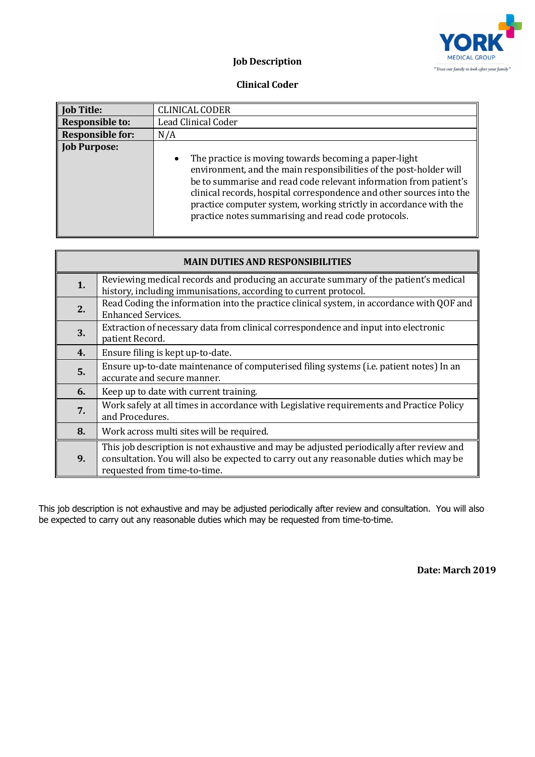

## **Job Description**

## **Clinical Coder**

| <b>Job Title:</b>       | <b>CLINICAL CODER</b>                                                                                                                                                                                                                                                                                                                                                                                             |  |
|-------------------------|-------------------------------------------------------------------------------------------------------------------------------------------------------------------------------------------------------------------------------------------------------------------------------------------------------------------------------------------------------------------------------------------------------------------|--|
| <b>Responsible to:</b>  | Lead Clinical Coder                                                                                                                                                                                                                                                                                                                                                                                               |  |
| <b>Responsible for:</b> | N/A                                                                                                                                                                                                                                                                                                                                                                                                               |  |
| <b>Job Purpose:</b>     | The practice is moving towards becoming a paper-light<br>$\bullet$<br>environment, and the main responsibilities of the post-holder will<br>be to summarise and read code relevant information from patient's<br>clinical records, hospital correspondence and other sources into the<br>practice computer system, working strictly in accordance with the<br>practice notes summarising and read code protocols. |  |

| <b>MAIN DUTIES AND RESPONSIBILITIES</b> |                                                                                                                                                                                                                     |  |
|-----------------------------------------|---------------------------------------------------------------------------------------------------------------------------------------------------------------------------------------------------------------------|--|
| 1.                                      | Reviewing medical records and producing an accurate summary of the patient's medical<br>history, including immunisations, according to current protocol.                                                            |  |
| 2.                                      | Read Coding the information into the practice clinical system, in accordance with QOF and<br><b>Enhanced Services.</b>                                                                                              |  |
| 3.                                      | Extraction of necessary data from clinical correspondence and input into electronic<br>patient Record.                                                                                                              |  |
| 4.                                      | Ensure filing is kept up-to-date.                                                                                                                                                                                   |  |
| 5.                                      | Ensure up-to-date maintenance of computerised filing systems (i.e. patient notes) In an<br>accurate and secure manner.                                                                                              |  |
| 6.                                      | Keep up to date with current training.                                                                                                                                                                              |  |
| 7.                                      | Work safely at all times in accordance with Legislative requirements and Practice Policy<br>and Procedures.                                                                                                         |  |
| 8.                                      | Work across multi sites will be required.                                                                                                                                                                           |  |
| 9.                                      | This job description is not exhaustive and may be adjusted periodically after review and<br>consultation. You will also be expected to carry out any reasonable duties which may be<br>requested from time-to-time. |  |

This job description is not exhaustive and may be adjusted periodically after review and consultation. You will also be expected to carry out any reasonable duties which may be requested from time-to-time.

**Date: March 2019**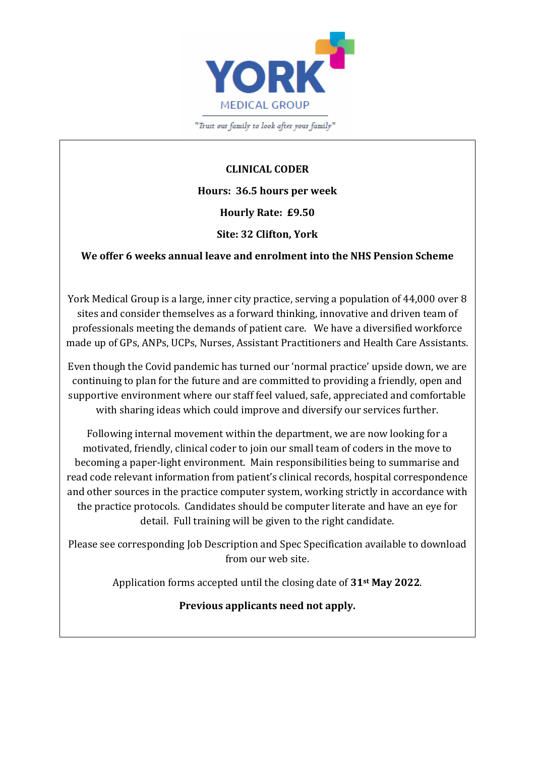

"Trust our family to look after your family"

**CLINICAL CODER Hours: 36.5 hours per week Hourly Rate: £9.50**

## **We offer 6 weeks annual leave and enrolment into the NHS Pension Scheme**

**Site: 32 Clifton, York**

York Medical Group is a large, inner city practice, serving a population of 44,000 over 8 sites and consider themselves as a forward thinking, innovative and driven team of professionals meeting the demands of patient care. We have a diversified workforce made up of GPs, ANPs, UCPs, Nurses, Assistant Practitioners and Health Care Assistants.

Even though the Covid pandemic has turned our 'normal practice' upside down, we are continuing to plan for the future and are committed to providing a friendly, open and supportive environment where our staff feel valued, safe, appreciated and comfortable with sharing ideas which could improve and diversify our services further.

Following internal movement within the department, we are now looking for a motivated, friendly, clinical coder to join our small team of coders in the move to becoming a paper-light environment. Main responsibilities being to summarise and read code relevant information from patient's clinical records, hospital correspondence and other sources in the practice computer system, working strictly in accordance with the practice protocols. Candidates should be computer literate and have an eye for detail. Full training will be given to the right candidate.

Please see corresponding Job Description and Spec Specification available to download from our web site.

Application forms accepted until the closing date of **31st May 2022**.

**Previous applicants need not apply.**